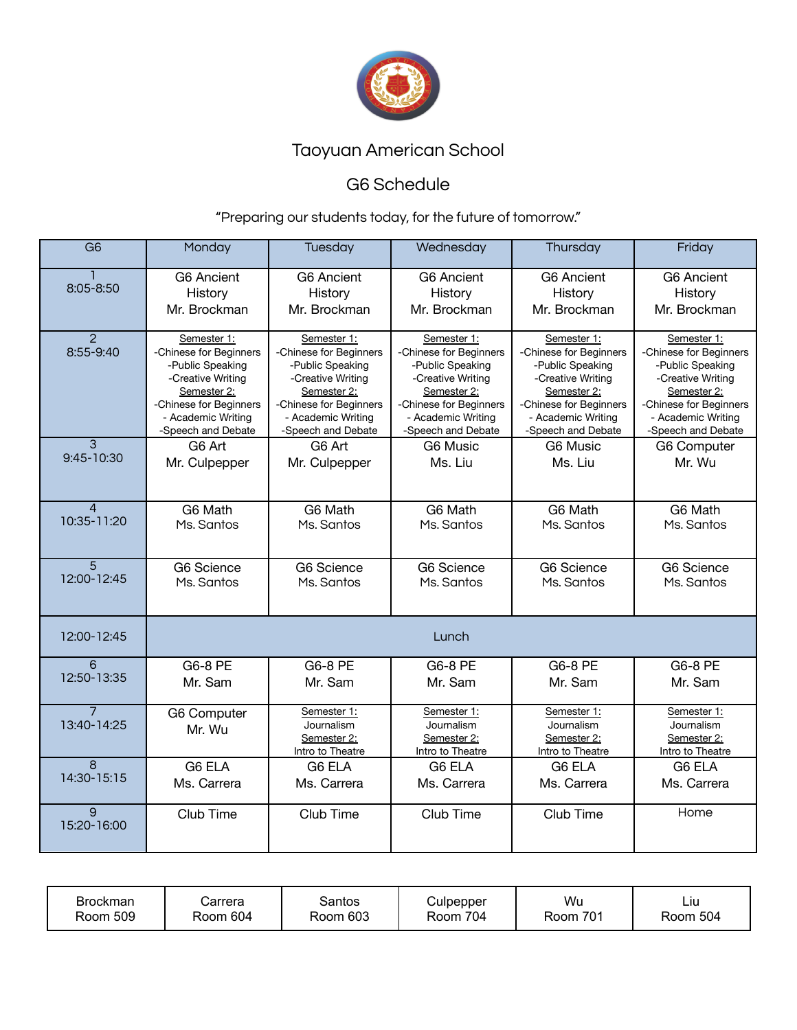

# Taoyuan American School

## G6 Schedule

### "Preparing our students today, for the future of tomorrow."

| $\overline{G6}$               | Monday                                                                                                                                                              | Tuesday                                                                                                                                                             | Wednesday                                                                                                                                                           | Thursday                                                                                                                                                            | Friday                                                                                                                                                              |  |
|-------------------------------|---------------------------------------------------------------------------------------------------------------------------------------------------------------------|---------------------------------------------------------------------------------------------------------------------------------------------------------------------|---------------------------------------------------------------------------------------------------------------------------------------------------------------------|---------------------------------------------------------------------------------------------------------------------------------------------------------------------|---------------------------------------------------------------------------------------------------------------------------------------------------------------------|--|
| 8:05-8:50                     | <b>G6 Ancient</b>                                                                                                                                                   | <b>G6 Ancient</b>                                                                                                                                                   | <b>G6 Ancient</b>                                                                                                                                                   | <b>G6 Ancient</b>                                                                                                                                                   | <b>G6 Ancient</b>                                                                                                                                                   |  |
|                               | History                                                                                                                                                             | History                                                                                                                                                             | History                                                                                                                                                             | History                                                                                                                                                             | History                                                                                                                                                             |  |
|                               | Mr. Brockman                                                                                                                                                        | Mr. Brockman                                                                                                                                                        | Mr. Brockman                                                                                                                                                        | Mr. Brockman                                                                                                                                                        | Mr. Brockman                                                                                                                                                        |  |
| $\overline{2}$<br>8:55-9:40   | Semester 1:<br>-Chinese for Beginners<br>-Public Speaking<br>-Creative Writing<br>Semester 2:<br>-Chinese for Beginners<br>- Academic Writing<br>-Speech and Debate | Semester 1:<br>-Chinese for Beginners<br>-Public Speaking<br>-Creative Writing<br>Semester 2:<br>-Chinese for Beginners<br>- Academic Writing<br>-Speech and Debate | Semester 1:<br>-Chinese for Beginners<br>-Public Speaking<br>-Creative Writing<br>Semester 2:<br>-Chinese for Beginners<br>- Academic Writing<br>-Speech and Debate | Semester 1:<br>-Chinese for Beginners<br>-Public Speaking<br>-Creative Writing<br>Semester 2:<br>-Chinese for Beginners<br>- Academic Writing<br>-Speech and Debate | Semester 1:<br>-Chinese for Beginners<br>-Public Speaking<br>-Creative Writing<br>Semester 2:<br>-Chinese for Beginners<br>- Academic Writing<br>-Speech and Debate |  |
| 3                             | G6 Art                                                                                                                                                              | G6 Art                                                                                                                                                              | G6 Music                                                                                                                                                            | G6 Music                                                                                                                                                            | <b>G6 Computer</b>                                                                                                                                                  |  |
| 9:45-10:30                    | Mr. Culpepper                                                                                                                                                       | Mr. Culpepper                                                                                                                                                       | Ms. Liu                                                                                                                                                             | Ms. Liu                                                                                                                                                             | Mr. Wu                                                                                                                                                              |  |
| $\overline{4}$                | G6 Math                                                                                                                                                             | G6 Math                                                                                                                                                             | G6 Math                                                                                                                                                             | G6 Math                                                                                                                                                             | G6 Math                                                                                                                                                             |  |
| 10:35-11:20                   | Ms. Santos                                                                                                                                                          | Ms. Santos                                                                                                                                                          | Ms. Santos                                                                                                                                                          | Ms. Santos                                                                                                                                                          | Ms. Santos                                                                                                                                                          |  |
| 5                             | G6 Science                                                                                                                                                          | G6 Science                                                                                                                                                          | G6 Science                                                                                                                                                          | G6 Science                                                                                                                                                          | <b>G6 Science</b>                                                                                                                                                   |  |
| 12:00-12:45                   | Ms. Santos                                                                                                                                                          | Ms. Santos                                                                                                                                                          | Ms. Santos                                                                                                                                                          | Ms. Santos                                                                                                                                                          | Ms. Santos                                                                                                                                                          |  |
| 12:00-12:45                   | Lunch                                                                                                                                                               |                                                                                                                                                                     |                                                                                                                                                                     |                                                                                                                                                                     |                                                                                                                                                                     |  |
| $\overline{6}$                | G6-8 PE                                                                                                                                                             | G6-8 PE                                                                                                                                                             | G6-8 PE                                                                                                                                                             | G6-8 PE                                                                                                                                                             | G6-8 PE                                                                                                                                                             |  |
| 12:50-13:35                   | Mr. Sam                                                                                                                                                             | Mr. Sam                                                                                                                                                             | Mr. Sam                                                                                                                                                             | Mr. Sam                                                                                                                                                             | Mr. Sam                                                                                                                                                             |  |
| $\overline{7}$<br>13:40-14:25 | <b>G6 Computer</b><br>Mr. Wu                                                                                                                                        | Semester 1:<br>Journalism<br>Semester 2:<br>Intro to Theatre                                                                                                        | Semester 1:<br>Journalism<br>Semester 2:<br>Intro to Theatre                                                                                                        | Semester 1:<br>Journalism<br>Semester 2:<br>Intro to Theatre                                                                                                        | Semester 1:<br>Journalism<br>Semester 2:<br>Intro to Theatre                                                                                                        |  |
| 8                             | G6 ELA                                                                                                                                                              | G6 ELA                                                                                                                                                              | G6 ELA                                                                                                                                                              | G6 ELA                                                                                                                                                              | G6 ELA                                                                                                                                                              |  |
| 14:30-15:15                   | Ms. Carrera                                                                                                                                                         | Ms. Carrera                                                                                                                                                         | Ms. Carrera                                                                                                                                                         | Ms. Carrera                                                                                                                                                         | Ms. Carrera                                                                                                                                                         |  |
| 9<br>15:20-16:00              | Club Time                                                                                                                                                           | Club Time                                                                                                                                                           | Club Time                                                                                                                                                           | Club Time                                                                                                                                                           | Home                                                                                                                                                                |  |

| Brockman<br>Room 509 | Carrera<br>Room 604 | Santos<br>Room 603 | Culpepper<br>704<br>Room. | Wu<br>Room 701 | Liu<br>Room 504 |
|----------------------|---------------------|--------------------|---------------------------|----------------|-----------------|
|----------------------|---------------------|--------------------|---------------------------|----------------|-----------------|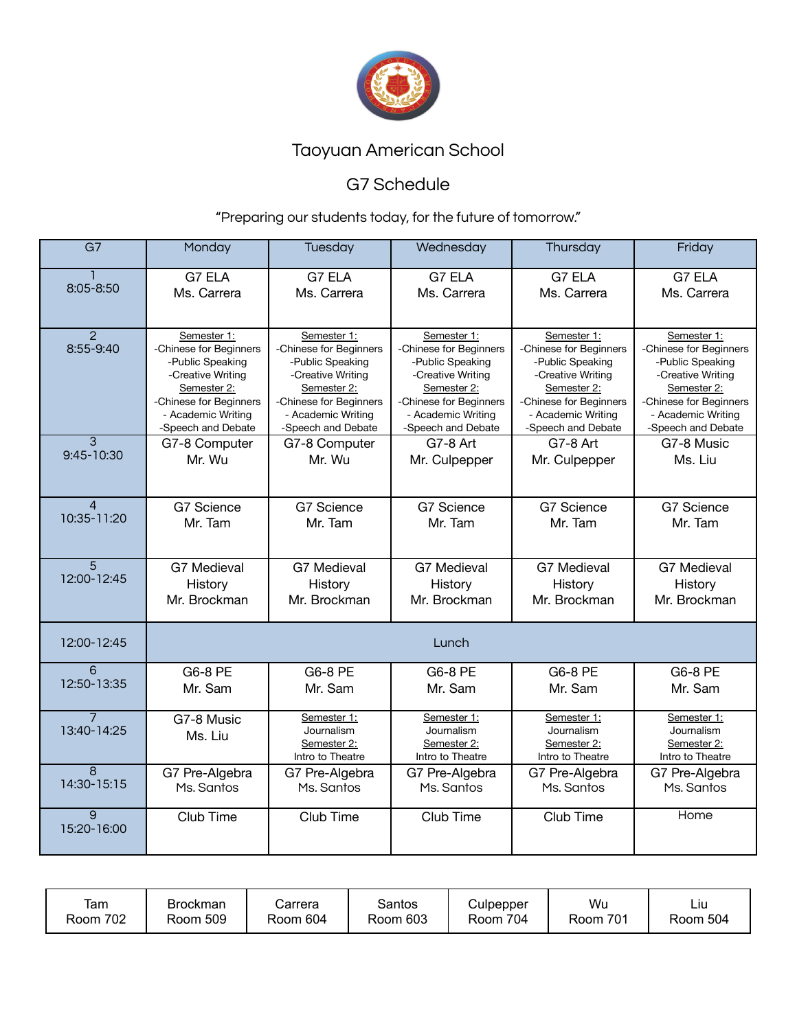

# Taoyuan American School

## G7 Schedule

### "Preparing our students today, for the future of tomorrow."

| $\overline{G7}$               | Monday                                                                                                                                                              | Tuesday                                                                                                                                                             | Wednesday                                                                                                                                                           | Thursday                                                                                                                                                            | Friday                                                                                                                                                              |  |
|-------------------------------|---------------------------------------------------------------------------------------------------------------------------------------------------------------------|---------------------------------------------------------------------------------------------------------------------------------------------------------------------|---------------------------------------------------------------------------------------------------------------------------------------------------------------------|---------------------------------------------------------------------------------------------------------------------------------------------------------------------|---------------------------------------------------------------------------------------------------------------------------------------------------------------------|--|
| 8:05-8:50                     | G7 ELA<br>Ms. Carrera                                                                                                                                               | G7 ELA<br>Ms. Carrera                                                                                                                                               | G7 ELA<br>Ms. Carrera                                                                                                                                               | G7 ELA<br>Ms. Carrera                                                                                                                                               | G7 ELA<br>Ms. Carrera                                                                                                                                               |  |
| $\overline{2}$<br>8:55-9:40   | Semester 1:<br>-Chinese for Beginners<br>-Public Speaking<br>-Creative Writing<br>Semester 2:<br>-Chinese for Beginners<br>- Academic Writing<br>-Speech and Debate | Semester 1:<br>-Chinese for Beginners<br>-Public Speaking<br>-Creative Writing<br>Semester 2:<br>-Chinese for Beginners<br>- Academic Writing<br>-Speech and Debate | Semester 1:<br>-Chinese for Beginners<br>-Public Speaking<br>-Creative Writing<br>Semester 2:<br>-Chinese for Beginners<br>- Academic Writing<br>-Speech and Debate | Semester 1:<br>-Chinese for Beginners<br>-Public Speaking<br>-Creative Writing<br>Semester 2:<br>-Chinese for Beginners<br>- Academic Writing<br>-Speech and Debate | Semester 1:<br>-Chinese for Beginners<br>-Public Speaking<br>-Creative Writing<br>Semester 2:<br>-Chinese for Beginners<br>- Academic Writing<br>-Speech and Debate |  |
| $\overline{3}$<br>9:45-10:30  | G7-8 Computer<br>Mr. Wu                                                                                                                                             | G7-8 Computer<br>Mr. Wu                                                                                                                                             | G7-8 Art<br>Mr. Culpepper                                                                                                                                           | G7-8 Art<br>Mr. Culpepper                                                                                                                                           | G7-8 Music<br>Ms. Liu                                                                                                                                               |  |
| $\overline{4}$<br>10:35-11:20 | G7 Science<br>Mr. Tam                                                                                                                                               | G7 Science<br>Mr. Tam                                                                                                                                               | G7 Science<br>Mr. Tam                                                                                                                                               | G7 Science<br>Mr. Tam                                                                                                                                               | G7 Science<br>Mr. Tam                                                                                                                                               |  |
| $\overline{5}$<br>12:00-12:45 | <b>G7 Medieval</b><br>History<br>Mr. Brockman                                                                                                                       | <b>G7 Medieval</b><br>History<br>Mr. Brockman                                                                                                                       | <b>G7 Medieval</b><br>History<br>Mr. Brockman                                                                                                                       | <b>G7 Medieval</b><br>History<br>Mr. Brockman                                                                                                                       | <b>G7 Medieval</b><br>History<br>Mr. Brockman                                                                                                                       |  |
| 12:00-12:45                   | Lunch                                                                                                                                                               |                                                                                                                                                                     |                                                                                                                                                                     |                                                                                                                                                                     |                                                                                                                                                                     |  |
| 6<br>12:50-13:35              | G6-8 PE<br>Mr. Sam                                                                                                                                                  | G6-8 PE<br>Mr. Sam                                                                                                                                                  | G6-8 PE<br>Mr. Sam                                                                                                                                                  | G6-8 PE<br>Mr. Sam                                                                                                                                                  | G6-8 PE<br>Mr. Sam                                                                                                                                                  |  |
| 13:40-14:25                   | G7-8 Music<br>Ms. Liu                                                                                                                                               | Semester 1:<br>Journalism<br>Semester 2:<br>Intro to Theatre                                                                                                        | Semester 1:<br>Journalism<br>Semester 2:<br>Intro to Theatre                                                                                                        | Semester 1:<br>Journalism<br>Semester 2:<br>Intro to Theatre                                                                                                        | Semester 1:<br>Journalism<br>Semester 2:<br>Intro to Theatre                                                                                                        |  |
| $\overline{8}$<br>14:30-15:15 | G7 Pre-Algebra<br>Ms. Santos                                                                                                                                        | G7 Pre-Algebra<br>Ms. Santos                                                                                                                                        | G7 Pre-Algebra<br>Ms. Santos                                                                                                                                        | G7 Pre-Algebra<br>Ms. Santos                                                                                                                                        | G7 Pre-Algebra<br>Ms. Santos                                                                                                                                        |  |
| $\overline{9}$<br>15:20-16:00 | Club Time                                                                                                                                                           | Club Time                                                                                                                                                           | Club Time                                                                                                                                                           | Club Time                                                                                                                                                           | Home                                                                                                                                                                |  |

| Tam<br>702<br>Room | Brockman<br>Room 509 | Carrera<br>Room 604 | Santos<br>Room 603 | Culpepper<br>Room 704 | Wu<br>701<br>Room | ∟lU⊹<br>Room 504 |
|--------------------|----------------------|---------------------|--------------------|-----------------------|-------------------|------------------|
|--------------------|----------------------|---------------------|--------------------|-----------------------|-------------------|------------------|